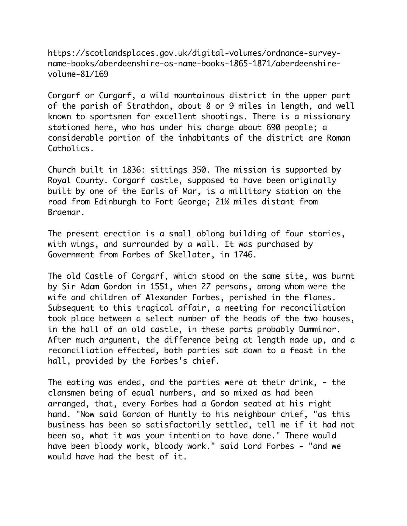https://scotlandsplaces.gov.uk/digital-volumes/ordnance-surveyname-books/aberdeenshire-os-name-books-1865-1871/aberdeenshirevolume-81/169

Corgarf or Curgarf, a wild mountainous district in the upper part of the parish of Strathdon, about 8 or 9 miles in length, and well known to sportsmen for excellent shootings. There is a missionary stationed here, who has under his charge about 690 people; a considerable portion of the inhabitants of the district are Roman Catholics.

Church built in 1836: sittings 350. The mission is supported by Royal County. Corgarf castle, supposed to have been originally built by one of the Earls of Mar, is a millitary station on the road from Edinburgh to Fort George; 21½ miles distant from Braemar.

The present erection is a small oblong building of four stories, with wings, and surrounded by a wall. It was purchased by Government from Forbes of Skellater, in 1746.

The old Castle of Corgarf, which stood on the same site, was burnt by Sir Adam Gordon in 1551, when 27 persons, among whom were the wife and children of Alexander Forbes, perished in the flames. Subsequent to this tragical affair, a meeting for reconciliation took place between a select number of the heads of the two houses, in the hall of an old castle, in these parts probably Dumminor. After much argument, the difference being at length made up, and a reconciliation effected, both parties sat down to a feast in the hall, provided by the Forbes's chief.

The eating was ended, and the parties were at their drink, - the clansmen being of equal numbers, and so mixed as had been arranged, that, every Forbes had a Gordon seated at his right hand. "Now said Gordon of Huntly to his neighbour chief, "as this business has been so satisfactorily settled, tell me if it had not been so, what it was your intention to have done." There would have been bloody work, bloody work." said Lord Forbes - "and we would have had the best of it.